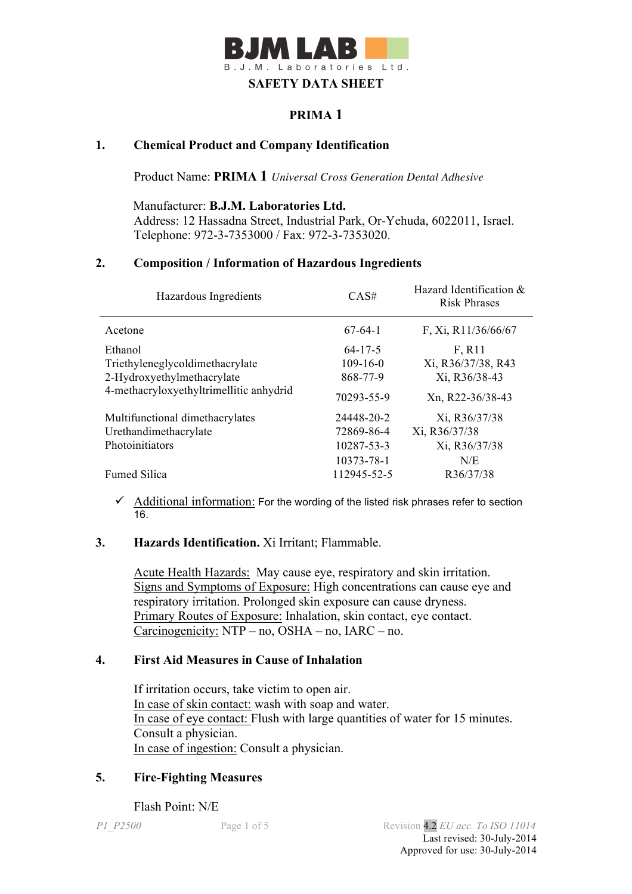

# **PRIMA 1**

## **1. Chemical Product and Company Identification**

Product Name: **PRIMA 1** *Universal Cross Generation Dental Adhesive*

Manufacturer: **B.J.M. Laboratories Ltd.** Address: 12 Hassadna Street, Industrial Park, Or-Yehuda, 6022011, Israel. Telephone: 972-3-7353000 / Fax: 972-3-7353020.

#### **2. Composition / Information of Hazardous Ingredients**

| Hazardous Ingredients                   | CAS#           | Hazard Identification &<br><b>Risk Phrases</b> |
|-----------------------------------------|----------------|------------------------------------------------|
| Acetone                                 | $67-64-1$      | F, Xi, R11/36/66/67                            |
| Ethanol                                 | $64 - 17 - 5$  | F, R11                                         |
| Triethyleneglycoldimethacrylate         | $109 - 16 - 0$ | Xi, R36/37/38, R43                             |
| 2-Hydroxyethylmethacrylate              | 868-77-9       | Xi, R36/38-43                                  |
| 4-methacryloxyethyltrimellitic anhydrid | 70293-55-9     | Xn, R22-36/38-43                               |
| Multifunctional dimethacrylates         | 24448-20-2     | Xi, R36/37/38                                  |
| Urethandimethacrylate                   | 72869-86-4     | Xi, R36/37/38                                  |
| Photoinitiators                         | 10287-53-3     | Xi, R36/37/38                                  |
|                                         | 10373-78-1     | N/E                                            |
| <b>Fumed Silica</b>                     | 112945-52-5    | R36/37/38                                      |

 $\checkmark$  Additional information: For the wording of the listed risk phrases refer to section 16.

## **3. Hazards Identification.** Xi Irritant; Flammable.

Acute Health Hazards: May cause eye, respiratory and skin irritation. Signs and Symptoms of Exposure: High concentrations can cause eye and respiratory irritation. Prolonged skin exposure can cause dryness. Primary Routes of Exposure: Inhalation, skin contact, eye contact. Carcinogenicity: NTP – no, OSHA – no, IARC – no.

## **4. First Aid Measures in Cause of Inhalation**

 If irritation occurs, take victim to open air. In case of skin contact: wash with soap and water. In case of eye contact: Flush with large quantities of water for 15 minutes. Consult a physician. In case of ingestion: Consult a physician.

## **5. Fire-Fighting Measures**

Flash Point: N/E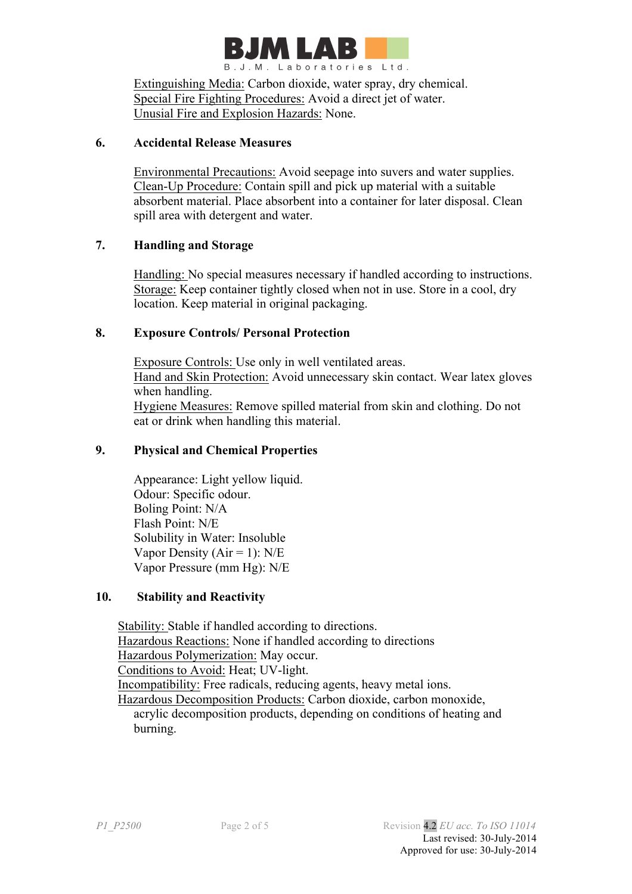

Extinguishing Media: Carbon dioxide, water spray, dry chemical. Special Fire Fighting Procedures: Avoid a direct jet of water. Unusial Fire and Explosion Hazards: None.

#### **6. Accidental Release Measures**

 Environmental Precautions: Avoid seepage into suvers and water supplies. Clean-Up Procedure: Contain spill and pick up material with a suitable absorbent material. Place absorbent into a container for later disposal. Clean spill area with detergent and water.

## **7. Handling and Storage**

 Handling: No special measures necessary if handled according to instructions. Storage: Keep container tightly closed when not in use. Store in a cool, dry location. Keep material in original packaging.

#### **8. Exposure Controls/ Personal Protection**

 Exposure Controls: Use only in well ventilated areas. Hand and Skin Protection: Avoid unnecessary skin contact. Wear latex gloves when handling. Hygiene Measures: Remove spilled material from skin and clothing. Do not eat or drink when handling this material.

#### **9. Physical and Chemical Properties**

Appearance: Light yellow liquid. Odour: Specific odour. Boling Point: N/A Flash Point: N/E Solubility in Water: Insoluble Vapor Density ( $Air = 1$ ):  $N/E$ Vapor Pressure (mm Hg): N/E

## **10. Stability and Reactivity**

 Stability: Stable if handled according to directions. Hazardous Reactions: None if handled according to directions Hazardous Polymerization: May occur. Conditions to Avoid: Heat; UV-light. Incompatibility: Free radicals, reducing agents, heavy metal ions. Hazardous Decomposition Products: Carbon dioxide, carbon monoxide, acrylic decomposition products, depending on conditions of heating and burning.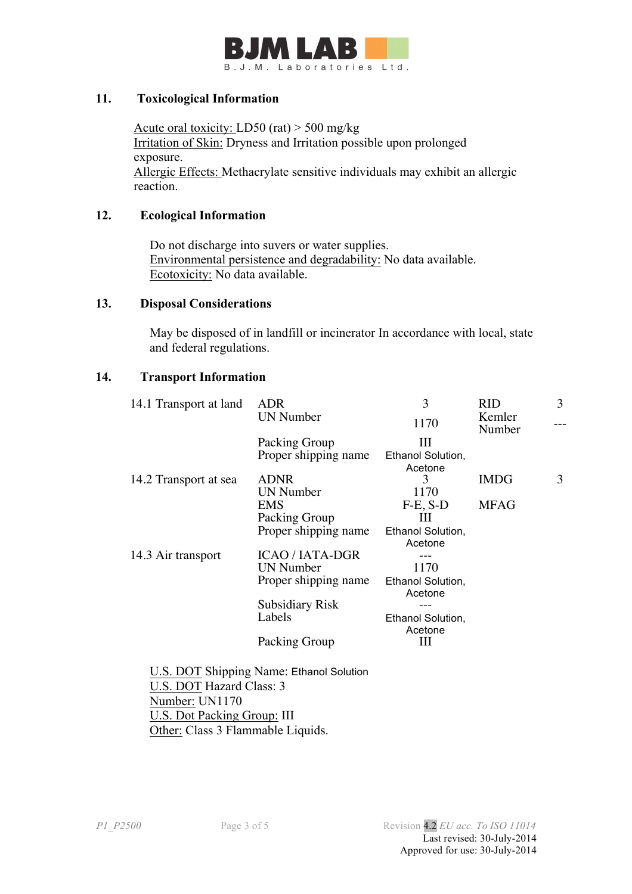

#### **11. Toxicological Information**

Acute oral toxicity: LD50 (rat) > 500 mg/kg Irritation of Skin: Dryness and Irritation possible upon prolonged exposure. Allergic Effects: Methacrylate sensitive individuals may exhibit an allergic reaction.

#### **12. Ecological Information**

 Do not discharge into suvers or water supplies. Environmental persistence and degradability: No data available. Ecotoxicity: No data available.

#### **13. Disposal Considerations**

 May be disposed of in landfill or incinerator In accordance with local, state and federal regulations.

#### **14. Transport Information**

| 14.1 Transport at land | <b>ADR</b>             | 3                            | <b>RID</b>       | 3 |
|------------------------|------------------------|------------------------------|------------------|---|
|                        | <b>UN Number</b>       | 1170                         | Kemler<br>Number |   |
|                        | Packing Group          | Ш                            |                  |   |
|                        | Proper shipping name   | Ethanol Solution,            |                  |   |
|                        |                        | Acetone                      |                  |   |
| 14.2 Transport at sea  | <b>ADNR</b>            | 3                            | <b>IMDG</b>      | 3 |
|                        | <b>UN</b> Number       | 1170                         |                  |   |
|                        | <b>EMS</b>             | $F-E$ , $S-D$                | <b>MFAG</b>      |   |
|                        | Packing Group          | Ш                            |                  |   |
|                        | Proper shipping name   | Ethanol Solution,<br>Acetone |                  |   |
| 14.3 Air transport     | <b>ICAO / IATA-DGR</b> |                              |                  |   |
|                        | <b>UN Number</b>       | 1170                         |                  |   |
|                        | Proper shipping name   | Ethanol Solution,<br>Acetone |                  |   |
|                        | <b>Subsidiary Risk</b> |                              |                  |   |
|                        | Labels                 | Ethanol Solution,<br>Acetone |                  |   |
|                        | Packing Group          | Ш                            |                  |   |

 Number: UN1170 U.S. Dot Packing Group: III Other: Class 3 Flammable Liquids.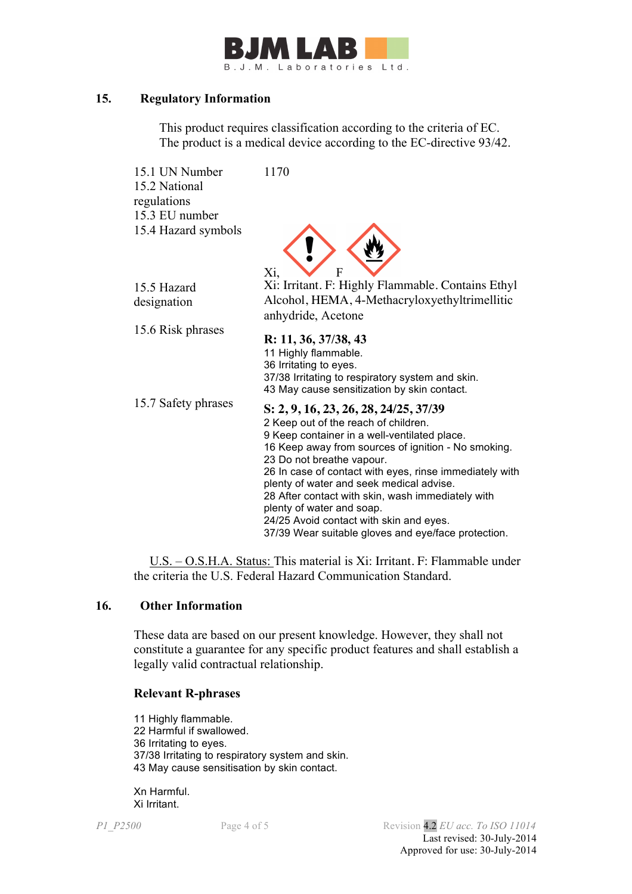

#### **15. Regulatory Information**

This product requires classification according to the criteria of EC. The product is a medical device according to the EC-directive 93/42.

| 15.1 UN Number<br>15.2 National<br>regulations<br>15.3 EU number | 1170                                                                                          |
|------------------------------------------------------------------|-----------------------------------------------------------------------------------------------|
| 15.4 Hazard symbols                                              | F<br>Xi,                                                                                      |
| 15.5 Hazard                                                      | Xi: Irritant. F: Highly Flammable. Contains Ethyl                                             |
| designation                                                      | Alcohol, HEMA, 4-Methacryloxyethyltrimellitic                                                 |
|                                                                  | anhydride, Acetone                                                                            |
| 15.6 Risk phrases                                                |                                                                                               |
|                                                                  | R: 11, 36, 37/38, 43                                                                          |
|                                                                  | 11 Highly flammable.                                                                          |
|                                                                  | 36 Irritating to eyes.<br>37/38 Irritating to respiratory system and skin.                    |
|                                                                  | 43 May cause sensitization by skin contact.                                                   |
| 15.7 Safety phrases                                              |                                                                                               |
|                                                                  | S: 2, 9, 16, 23, 26, 28, 24/25, 37/39                                                         |
|                                                                  | 2 Keep out of the reach of children.<br>9 Keep container in a well-ventilated place.          |
|                                                                  | 16 Keep away from sources of ignition - No smoking.                                           |
|                                                                  | 23 Do not breathe vapour.                                                                     |
|                                                                  | 26 In case of contact with eyes, rinse immediately with                                       |
|                                                                  | plenty of water and seek medical advise.<br>28 After contact with skin, wash immediately with |
|                                                                  | plenty of water and soap.                                                                     |
|                                                                  | 24/25 Avoid contact with skin and eyes.                                                       |
|                                                                  | 37/39 Wear suitable gloves and eye/face protection.                                           |
|                                                                  |                                                                                               |

 U.S. – O.S.H.A. Status: This material is Xi: Irritant. F: Flammable under the criteria the U.S. Federal Hazard Communication Standard.

#### **16. Other Information**

These data are based on our present knowledge. However, they shall not constitute a guarantee for any specific product features and shall establish a legally valid contractual relationship.

#### **Relevant R-phrases**

11 Highly flammable. 22 Harmful if swallowed. 36 Irritating to eyes. 37/38 Irritating to respiratory system and skin. 43 May cause sensitisation by skin contact.

Xn Harmful. Xi Irritant.